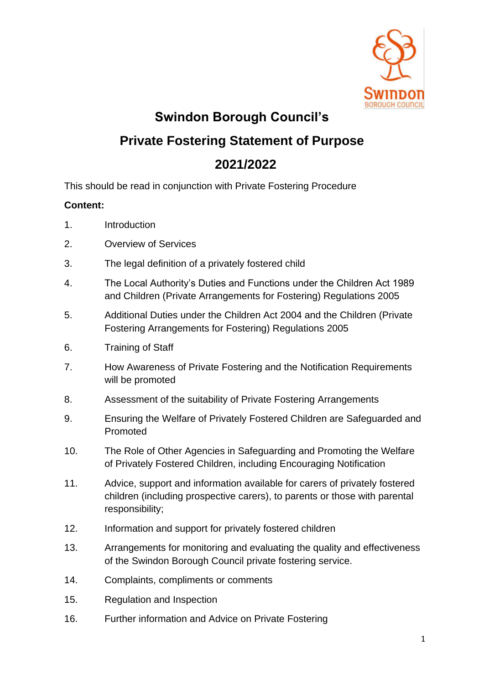

**Swindon Borough Council's** 

# **Private Fostering Statement of Purpose**

# **2021/2022**

This should be read in conjunction with Private Fostering Procedure

# **Content:**

- 1. Introduction
- 2. Overview of Services
- 3. The legal definition of a privately fostered child
- 4. The Local Authority's Duties and Functions under the Children Act 1989 and Children (Private Arrangements for Fostering) Regulations 2005
- 5. Additional Duties under the Children Act 2004 and the Children (Private Fostering Arrangements for Fostering) Regulations 2005
- 6. Training of Staff
- 7. How Awareness of Private Fostering and the Notification Requirements will be promoted
- 8. Assessment of the suitability of Private Fostering Arrangements
- 9. Ensuring the Welfare of Privately Fostered Children are Safeguarded and Promoted
- 10. The Role of Other Agencies in Safeguarding and Promoting the Welfare of Privately Fostered Children, including Encouraging Notification
- 11. Advice, support and information available for carers of privately fostered children (including prospective carers), to parents or those with parental responsibility;
- 12. Information and support for privately fostered children
- 13. Arrangements for monitoring and evaluating the quality and effectiveness of the Swindon Borough Council private fostering service.
- 14. Complaints, compliments or comments
- 15. Regulation and Inspection
- 16. Further information and Advice on Private Fostering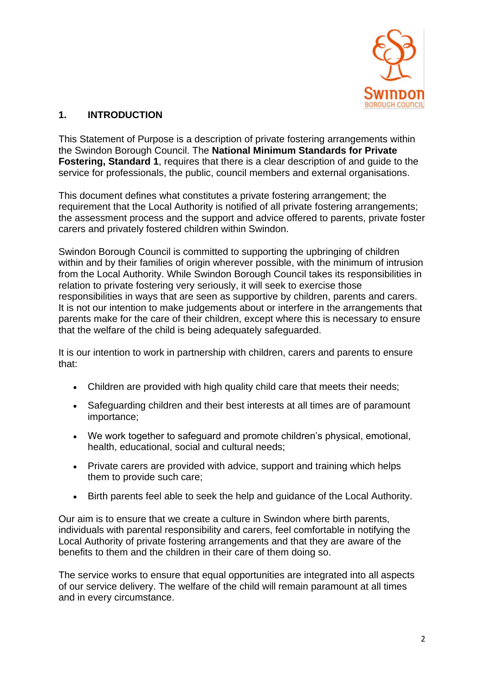

# **1. INTRODUCTION**

This Statement of Purpose is a description of private fostering arrangements within the Swindon Borough Council. The **[National Minimum Standards for Private](http://minimumstandards.org/fost_one.html)  [Fostering, Standard 1](http://minimumstandards.org/fost_one.html)**, requires that there is a clear description of and guide to the service for professionals, the public, council members and external organisations.

This document defines what constitutes a private fostering arrangement; the requirement that the Local Authority is notified of all private fostering arrangements; the assessment process and the support and advice offered to parents, private foster carers and privately fostered children within Swindon.

Swindon Borough Council is committed to supporting the upbringing of children within and by their families of origin wherever possible, with the minimum of intrusion from the Local Authority. While Swindon Borough Council takes its responsibilities in relation to private fostering very seriously, it will seek to exercise those responsibilities in ways that are seen as supportive by children, parents and carers. It is not our intention to make judgements about or interfere in the arrangements that parents make for the care of their children, except where this is necessary to ensure that the welfare of the child is being adequately safeguarded.

It is our intention to work in partnership with children, carers and parents to ensure that:

- Children are provided with high quality child care that meets their needs;
- Safeguarding children and their best interests at all times are of paramount importance;
- We work together to safeguard and promote children's physical, emotional, health, educational, social and cultural needs;
- Private carers are provided with advice, support and training which helps them to provide such care;
- Birth parents feel able to seek the help and guidance of the Local Authority.

Our aim is to ensure that we create a culture in Swindon where birth parents, individuals with [parental responsibility](http://trixresources.proceduresonline.com/nat_key/keywords/parental_respons.html) and carers, feel comfortable in notifying the Local Authority of private fostering arrangements and that they are aware of the benefits to them and the children in their care of them doing so.

The service works to ensure that equal opportunities are integrated into all aspects of our service delivery. The welfare of the child will remain paramount at all times and in every circumstance.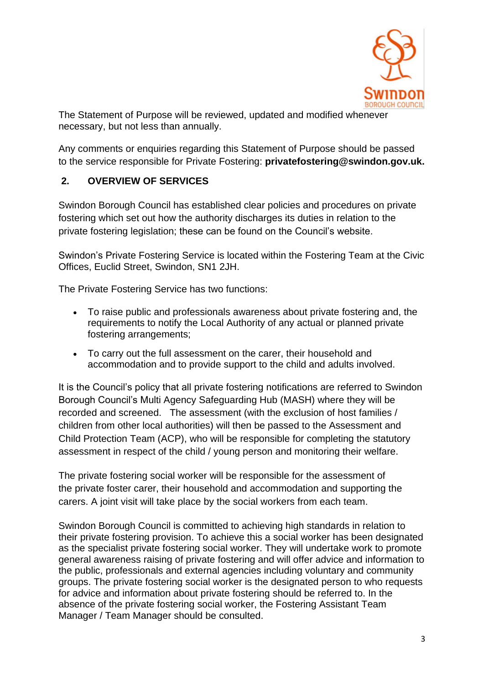

The Statement of Purpose will be reviewed, updated and modified whenever necessary, but not less than annually.

Any comments or enquiries regarding this Statement of Purpose should be passed to the service responsible for Private Fostering: **[privatefostering@swindon.gov.uk.](mailto:privatefostering@swindon.gov.uk)** 

### **2. OVERVIEW OF SERVICES**

Swindon Borough Council has established clear policies and procedures on private fostering which set out how the authority discharges its duties in relation to the private fostering legislation; these can be found on the Council's website.

Swindon's Private Fostering Service is located within the Fostering Team at the Civic Offices, Euclid Street, Swindon, SN1 2JH.

The Private Fostering Service has two functions:

- To raise public and professionals awareness about private fostering and, the requirements to notify the Local Authority of any actual or planned private fostering arrangements;
- To carry out the full assessment on the carer, their household and accommodation and to provide support to the child and adults involved.

It is the Council's policy that all private fostering notifications are referred to Swindon Borough Council's Multi Agency Safeguarding Hub (MASH) where they will be recorded and screened. The assessment (with the exclusion of host families / children from other local authorities) will then be passed to the Assessment and Child Protection Team (ACP), who will be responsible for completing the statutory assessment in respect of the child / young person and monitoring their welfare.

The private fostering social worker will be responsible for the assessment of the private foster carer, their household and accommodation and supporting the carers. A joint visit will take place by the social workers from each team.

Swindon Borough Council is committed to achieving high standards in relation to their private fostering provision. To achieve this a social worker has been designated as the specialist private fostering social worker. They will undertake work to promote general awareness raising of private fostering and will offer advice and information to the public, professionals and external agencies including voluntary and community groups. The private fostering social worker is the designated person to who requests for advice and information about private fostering should be referred to. In the absence of the private fostering social worker, the Fostering Assistant Team Manager / Team Manager should be consulted.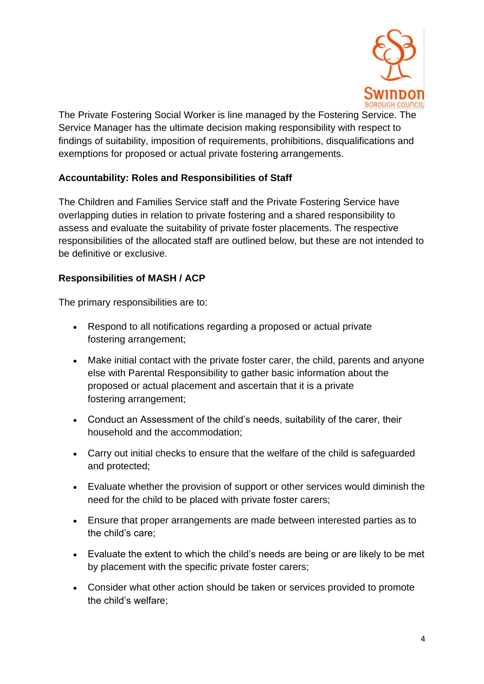

The Private Fostering Social Worker is line managed by the Fostering Service. The Service Manager has the ultimate decision making responsibility with respect to findings of suitability, imposition of requirements, prohibitions, disqualifications and exemptions for proposed or actual private fostering arrangements.

### **Accountability: Roles and Responsibilities of Staff**

The Children and Families Service staff and the Private Fostering Service have overlapping duties in relation to private fostering and a shared responsibility to assess and evaluate the suitability of private foster placements. The respective responsibilities of the allocated staff are outlined below, but these are not intended to be definitive or exclusive.

### **Responsibilities of MASH / ACP**

The primary responsibilities are to:

- Respond to all notifications regarding a proposed or actual private fostering arrangement;
- Make initial contact with the private foster carer, the child, parents and anyone else with Parental Responsibility to gather basic information about the proposed or actual placement and ascertain that it is a private fostering arrangement;
- Conduct an Assessment of the child's needs, suitability of the carer, their household and the accommodation;
- Carry out initial checks to ensure that the welfare of the child is safeguarded and protected;
- Evaluate whether the provision of support or other services would diminish the need for the child to be placed with private foster carers;
- Ensure that proper arrangements are made between interested parties as to the child's care;
- Evaluate the extent to which the child's needs are being or are likely to be met by placement with the specific private foster carers;
- Consider what other action should be taken or services provided to promote the child's welfare;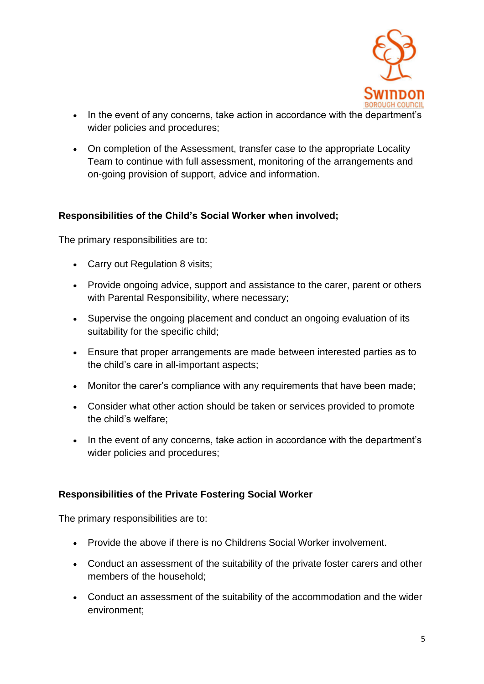

- In the event of any concerns, take action in accordance with the department's wider policies and procedures;
- On completion of the Assessment, transfer case to the appropriate Locality Team to continue with full assessment, monitoring of the arrangements and on-going provision of support, advice and information.

#### **Responsibilities of the Child's Social Worker when involved;**

The primary responsibilities are to:

- Carry out Regulation 8 visits;
- Provide ongoing advice, support and assistance to the carer, parent or others with Parental Responsibility, where necessary;
- Supervise the ongoing placement and conduct an ongoing evaluation of its suitability for the specific child;
- Ensure that proper arrangements are made between interested parties as to the child's care in all-important aspects;
- Monitor the carer's compliance with any requirements that have been made;
- Consider what other action should be taken or services provided to promote the child's welfare;
- In the event of any concerns, take action in accordance with the department's wider policies and procedures;

#### **Responsibilities of the Private Fostering Social Worker**

The primary responsibilities are to:

- Provide the above if there is no Childrens Social Worker involvement.
- Conduct an assessment of the suitability of the private foster carers and other members of the household;
- Conduct an assessment of the suitability of the accommodation and the wider environment;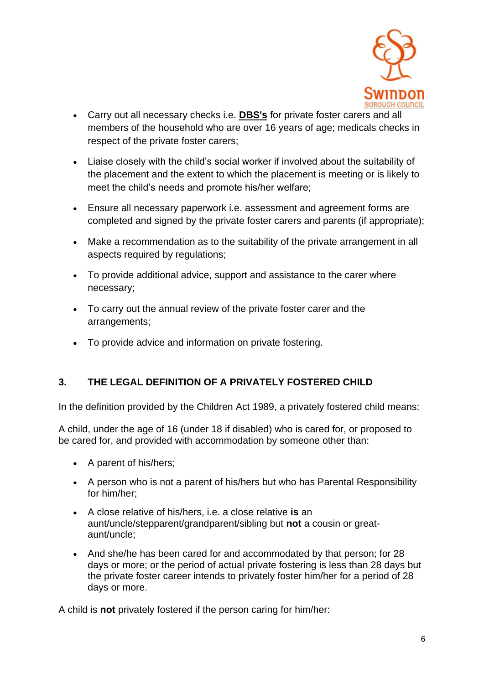

- Carry out all necessary checks i.e. **[DBS's](http://trixresources.proceduresonline.com/nat_key/keywords/dis_barring_service.html)** for private foster carers and all members of the household who are over 16 years of age; medicals checks in respect of the private foster carers;
- Liaise closely with the child's social worker if involved about the suitability of the placement and the extent to which the placement is meeting or is likely to meet the child's needs and promote his/her welfare;
- Ensure all necessary paperwork i.e. assessment and agreement forms are completed and signed by the private foster carers and parents (if appropriate);
- Make a recommendation as to the suitability of the private arrangement in all aspects required by regulations;
- To provide additional advice, support and assistance to the carer where necessary;
- To carry out the annual review of the private foster carer and the arrangements;
- To provide advice and information on private fostering.

# **3. THE LEGAL DEFINITION OF A PRIVATELY FOSTERED CHILD**

In the definition provided by the Children Act 1989, a privately fostered child means:

A child, under the age of 16 (under 18 if disabled) who is cared for, or proposed to be cared for, and provided with accommodation by someone other than:

- A parent of his/hers;
- A person who is not a parent of his/hers but who has Parental Responsibility for him/her;
- A close relative of his/hers, i.e. a close relative **is** an aunt/uncle/stepparent/grandparent/sibling but **not** a cousin or greataunt/uncle;
- And she/he has been cared for and accommodated by that person; for 28 days or more; or the period of actual private fostering is less than 28 days but the private foster career intends to privately foster him/her for a period of 28 days or more.

A child is **not** privately fostered if the person caring for him/her: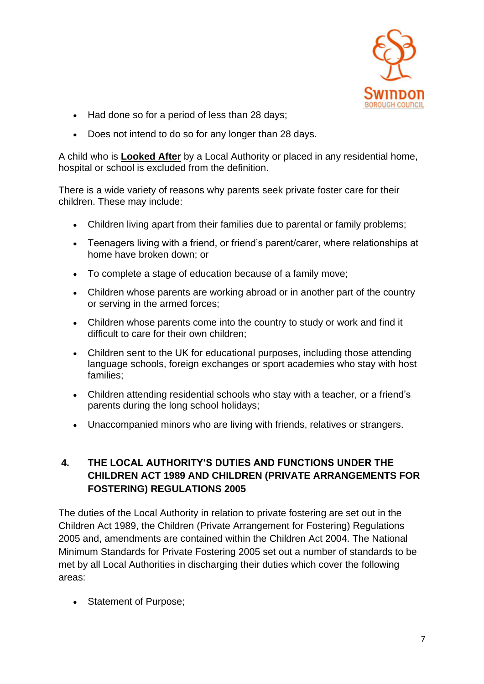

- Had done so for a period of less than 28 days;
- Does not intend to do so for any longer than 28 days.

A child who is **[Looked After](http://trixresources.proceduresonline.com/nat_key/keywords/looked_after.html)** by a Local Authority or placed in any residential home, hospital or school is excluded from the definition.

There is a wide variety of reasons why parents seek private foster care for their children. These may include:

- Children living apart from their families due to parental or family problems;
- Teenagers living with a friend, or friend's parent/carer, where relationships at home have broken down; or
- To complete a stage of education because of a family move;
- Children whose parents are working abroad or in another part of the country or serving in the armed forces;
- Children whose parents come into the country to study or work and find it difficult to care for their own children;
- Children sent to the UK for educational purposes, including those attending language schools, foreign exchanges or sport academies who stay with host families;
- Children attending residential schools who stay with a teacher, or a friend's parents during the long school holidays;
- Unaccompanied minors who are living with friends, relatives or strangers.

# **4. THE LOCAL AUTHORITY'S DUTIES AND FUNCTIONS UNDER THE CHILDREN ACT 1989 AND CHILDREN (PRIVATE ARRANGEMENTS FOR FOSTERING) REGULATIONS 2005**

The duties of the Local Authority in relation to private fostering are set out in the Children Act 1989, the Children (Private Arrangement for Fostering) Regulations 2005 and, amendments are contained within the Children Act 2004. The National Minimum Standards for Private Fostering 2005 set out a number of standards to be met by all Local Authorities in discharging their duties which cover the following areas:

• Statement of Purpose;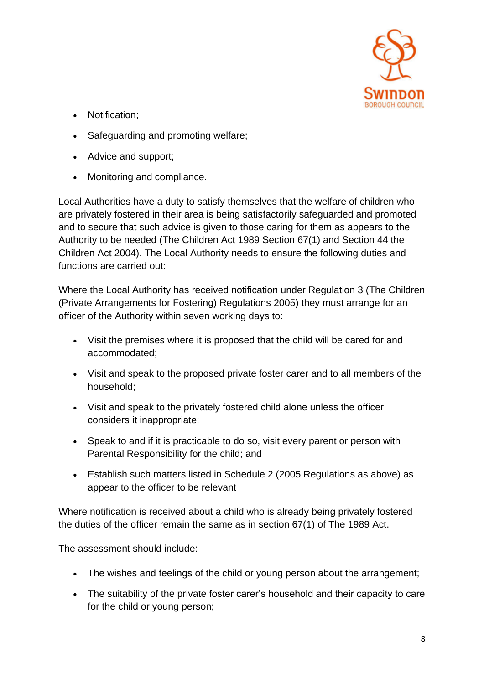

- Notification;
- Safeguarding and promoting welfare;
- Advice and support;
- Monitoring and compliance.

Local Authorities have a duty to satisfy themselves that the welfare of children who are privately fostered in their area is being satisfactorily safeguarded and promoted and to secure that such advice is given to those caring for them as appears to the Authority to be needed (The Children Act 1989 Section 67(1) and Section 44 the Children Act 2004). The Local Authority needs to ensure the following duties and functions are carried out:

Where the Local Authority has received notification under Regulation 3 (The Children (Private Arrangements for Fostering) Regulations 2005) they must arrange for an officer of the Authority within seven working days to:

- Visit the premises where it is proposed that the child will be cared for and accommodated;
- Visit and speak to the proposed private foster carer and to all members of the household;
- Visit and speak to the privately fostered child alone unless the officer considers it inappropriate;
- Speak to and if it is practicable to do so, visit every parent or person with Parental Responsibility for the child; and
- Establish such matters listed in Schedule 2 (2005 Regulations as above) as appear to the officer to be relevant

Where notification is received about a child who is already being privately fostered the duties of the officer remain the same as in section 67(1) of The 1989 Act.

The assessment should include:

- The wishes and feelings of the child or young person about the arrangement;
- The suitability of the private foster carer's household and their capacity to care for the child or young person;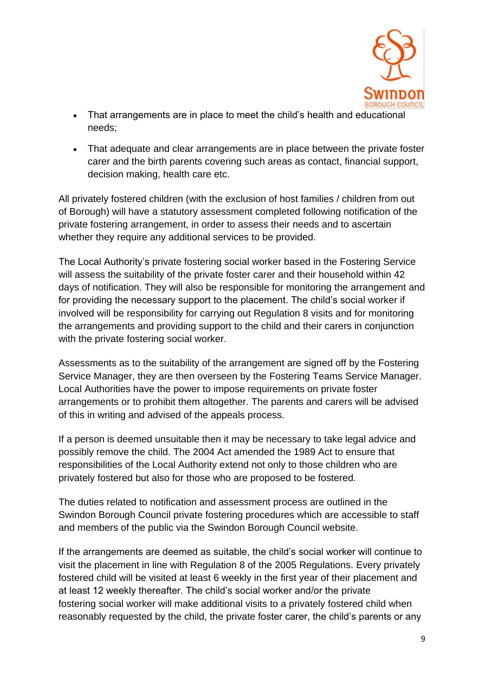

- That arrangements are in place to meet the child's health and educational needs;
- That adequate and clear arrangements are in place between the private foster carer and the birth parents covering such areas as contact, financial support, decision making, health care etc.

All privately fostered children (with the exclusion of host families / children from out of Borough) will have a statutory assessment completed following notification of the private fostering arrangement, in order to assess their needs and to ascertain whether they require any additional services to be provided.

The Local Authority's private fostering social worker based in the Fostering Service will assess the suitability of the private foster carer and their household within 42 days of notification. They will also be responsible for monitoring the arrangement and for providing the necessary support to the placement. The child's social worker if involved will be responsibility for carrying out Regulation 8 visits and for monitoring the arrangements and providing support to the child and their carers in conjunction with the private fostering social worker.

Assessments as to the suitability of the arrangement are signed off by the Fostering Service Manager, they are then overseen by the Fostering Teams Service Manager. Local Authorities have the power to impose requirements on private foster arrangements or to prohibit them altogether. The parents and carers will be advised of this in writing and advised of the appeals process.

If a person is deemed unsuitable then it may be necessary to take legal advice and possibly remove the child. The 2004 Act amended the 1989 Act to ensure that responsibilities of the Local Authority extend not only to those children who are privately fostered but also for those who are proposed to be fostered.

The duties related to notification and assessment process are outlined in the Swindon Borough Council private fostering procedures which are accessible to staff and members of the public via the Swindon Borough Council website.

If the arrangements are deemed as suitable, the child's social worker will continue to visit the placement in line with Regulation 8 of the 2005 Regulations. Every privately fostered child will be visited at least 6 weekly in the first year of their placement and at least 12 weekly thereafter. The child's social worker and/or the private fostering social worker will make additional visits to a privately fostered child when reasonably requested by the child, the private foster carer, the child's parents or any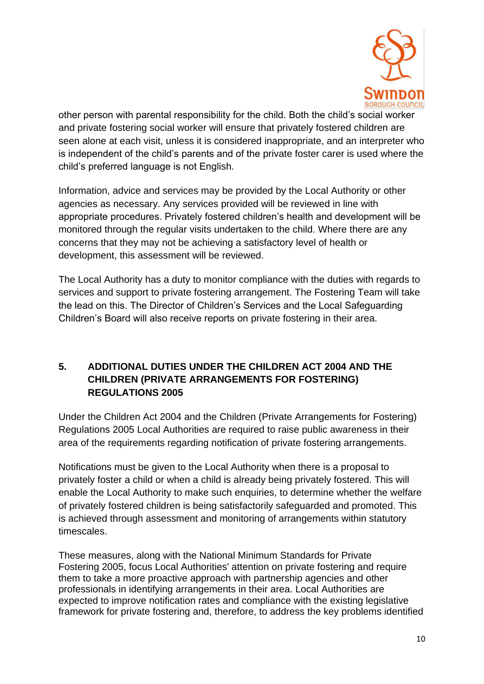

other person with parental responsibility for the child. Both the child's social worker and private fostering social worker will ensure that privately fostered children are seen alone at each visit, unless it is considered inappropriate, and an interpreter who is independent of the child's parents and of the private foster carer is used where the child's preferred language is not English.

Information, advice and services may be provided by the Local Authority or other agencies as necessary. Any services provided will be reviewed in line with appropriate procedures. Privately fostered children's health and development will be monitored through the regular visits undertaken to the child. Where there are any concerns that they may not be achieving a satisfactory level of health or development, this assessment will be reviewed.

The Local Authority has a duty to monitor compliance with the duties with regards to services and support to private fostering arrangement. The Fostering Team will take the lead on this. The Director of Children's Services and the Local Safeguarding Children's Board will also receive reports on private fostering in their area.

### **5. ADDITIONAL DUTIES UNDER THE CHILDREN ACT 2004 AND THE CHILDREN (PRIVATE ARRANGEMENTS FOR FOSTERING) REGULATIONS 2005**

Under the Children Act 2004 and the Children (Private Arrangements for Fostering) Regulations 2005 Local Authorities are required to raise public awareness in their area of the requirements regarding notification of private fostering arrangements.

Notifications must be given to the Local Authority when there is a proposal to privately foster a child or when a child is already being privately fostered. This will enable the Local Authority to make such enquiries, to determine whether the welfare of privately fostered children is being satisfactorily safeguarded and promoted. This is achieved through assessment and monitoring of arrangements within statutory timescales.

These measures, along with the National Minimum Standards for Private Fostering 2005, focus Local Authorities' attention on private fostering and require them to take a more proactive approach with partnership agencies and other professionals in identifying arrangements in their area. Local Authorities are expected to improve notification rates and compliance with the existing legislative framework for private fostering and, therefore, to address the key problems identified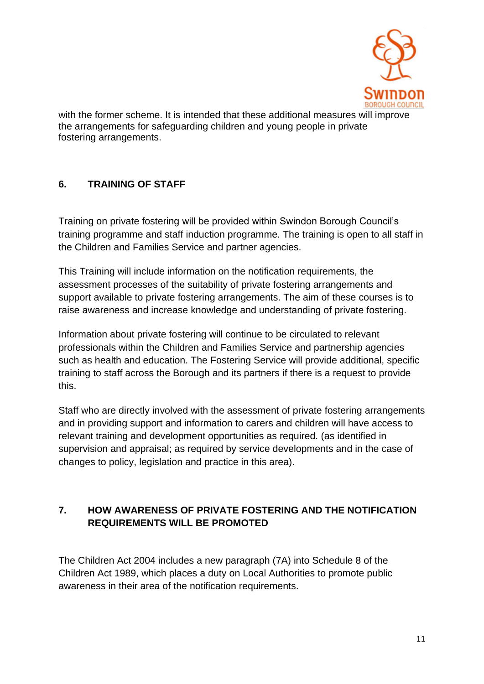

with the former scheme. It is intended that these additional measures will improve the arrangements for safeguarding children and young people in private fostering arrangements.

# **6. TRAINING OF STAFF**

Training on private fostering will be provided within Swindon Borough Council's training programme and staff induction programme. The training is open to all staff in the Children and Families Service and partner agencies.

This Training will include information on the notification requirements, the assessment processes of the suitability of private fostering arrangements and support available to private fostering arrangements. The aim of these courses is to raise awareness and increase knowledge and understanding of private fostering.

Information about private fostering will continue to be circulated to relevant professionals within the Children and Families Service and partnership agencies such as health and education. The Fostering Service will provide additional, specific training to staff across the Borough and its partners if there is a request to provide this.

Staff who are directly involved with the assessment of private fostering arrangements and in providing support and information to carers and children will have access to relevant training and development opportunities as required. (as identified in supervision and appraisal; as required by service developments and in the case of changes to policy, legislation and practice in this area).

# **7. HOW AWARENESS OF PRIVATE FOSTERING AND THE NOTIFICATION REQUIREMENTS WILL BE PROMOTED**

The Children Act 2004 includes a new paragraph (7A) into Schedule 8 of the Children Act 1989, which places a duty on Local Authorities to promote public awareness in their area of the notification requirements.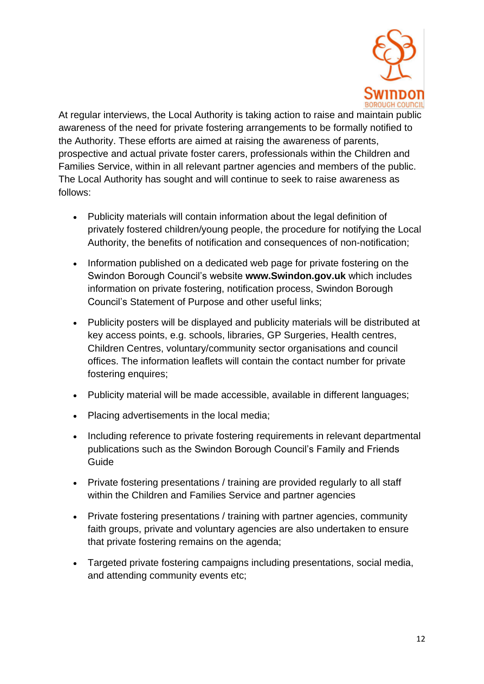

At regular interviews, the Local Authority is taking action to raise and maintain public awareness of the need for private fostering arrangements to be formally notified to the Authority. These efforts are aimed at raising the awareness of parents, prospective and actual private foster carers, professionals within the Children and Families Service, within in all relevant partner agencies and members of the public. The Local Authority has sought and will continue to seek to raise awareness as follows:

- Publicity materials will contain information about the legal definition of privately fostered children/young people, the procedure for notifying the Local Authority, the benefits of notification and consequences of non-notification;
- Information published on a dedicated web page for private fostering on the Swindon Borough Council's website **[www.Swindon.gov.uk](http://www.swindon.gov.uk/)** which includes information on private fostering, notification process, Swindon Borough Council's Statement of Purpose and other useful links;
- Publicity posters will be displayed and publicity materials will be distributed at key access points, e.g. schools, libraries, GP Surgeries, Health centres, Children Centres, voluntary/community sector organisations and council offices. The information leaflets will contain the contact number for private fostering enquires;
- Publicity material will be made accessible, available in different languages;
- Placing advertisements in the local media;
- Including reference to private fostering requirements in relevant departmental publications such as the Swindon Borough Council's Family and Friends Guide
- Private fostering presentations / training are provided regularly to all staff within the Children and Families Service and partner agencies
- Private fostering presentations / training with partner agencies, community faith groups, private and voluntary agencies are also undertaken to ensure that private fostering remains on the agenda;
- Targeted private fostering campaigns including presentations, social media, and attending community events etc;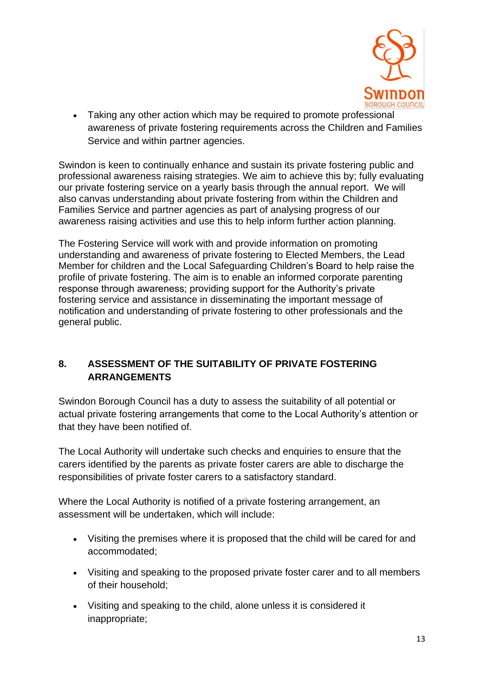

• Taking any other action which may be required to promote professional awareness of private fostering requirements across the Children and Families Service and within partner agencies.

Swindon is keen to continually enhance and sustain its private fostering public and professional awareness raising strategies. We aim to achieve this by; fully evaluating our private fostering service on a yearly basis through the annual report. We will also canvas understanding about private fostering from within the Children and Families Service and partner agencies as part of analysing progress of our awareness raising activities and use this to help inform further action planning.

The Fostering Service will work with and provide information on promoting understanding and awareness of private fostering to Elected Members, the Lead Member for children and the Local Safeguarding Children's Board to help raise the profile of private fostering. The aim is to enable an informed corporate parenting response through awareness; providing support for the Authority's private fostering service and assistance in disseminating the important message of notification and understanding of private fostering to other professionals and the general public.

# **8. ASSESSMENT OF THE SUITABILITY OF PRIVATE FOSTERING ARRANGEMENTS**

Swindon Borough Council has a duty to assess the suitability of all potential or actual private fostering arrangements that come to the Local Authority's attention or that they have been notified of.

The Local Authority will undertake such checks and enquiries to ensure that the carers identified by the parents as private foster carers are able to discharge the responsibilities of private foster carers to a satisfactory standard.

Where the Local Authority is notified of a private fostering arrangement, an assessment will be undertaken, which will include:

- Visiting the premises where it is proposed that the child will be cared for and accommodated;
- Visiting and speaking to the proposed private foster carer and to all members of their household;
- Visiting and speaking to the child, alone unless it is considered it inappropriate;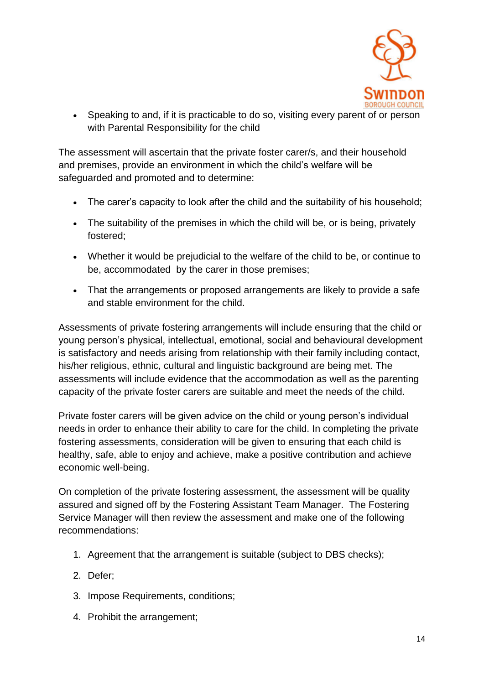

• Speaking to and, if it is practicable to do so, visiting every parent of or person with Parental Responsibility for the child

The assessment will ascertain that the private foster carer/s, and their household and premises, provide an environment in which the child's welfare will be safeguarded and promoted and to determine:

- The carer's capacity to look after the child and the suitability of his household;
- The suitability of the premises in which the child will be, or is being, privately fostered;
- Whether it would be prejudicial to the welfare of the child to be, or continue to be, accommodated by the carer in those premises;
- That the arrangements or proposed arrangements are likely to provide a safe and stable environment for the child.

Assessments of private fostering arrangements will include ensuring that the child or young person's physical, intellectual, emotional, social and behavioural development is satisfactory and needs arising from relationship with their family including contact, his/her religious, ethnic, cultural and linguistic background are being met. The assessments will include evidence that the accommodation as well as the parenting capacity of the private foster carers are suitable and meet the needs of the child.

Private foster carers will be given advice on the child or young person's individual needs in order to enhance their ability to care for the child. In completing the private fostering assessments, consideration will be given to ensuring that each child is healthy, safe, able to enjoy and achieve, make a positive contribution and achieve economic well-being.

On completion of the private fostering assessment, the assessment will be quality assured and signed off by the Fostering Assistant Team Manager. The Fostering Service Manager will then review the assessment and make one of the following recommendations:

- 1. Agreement that the arrangement is suitable (subject to DBS checks);
- 2. Defer;
- 3. Impose Requirements, conditions;
- 4. Prohibit the arrangement;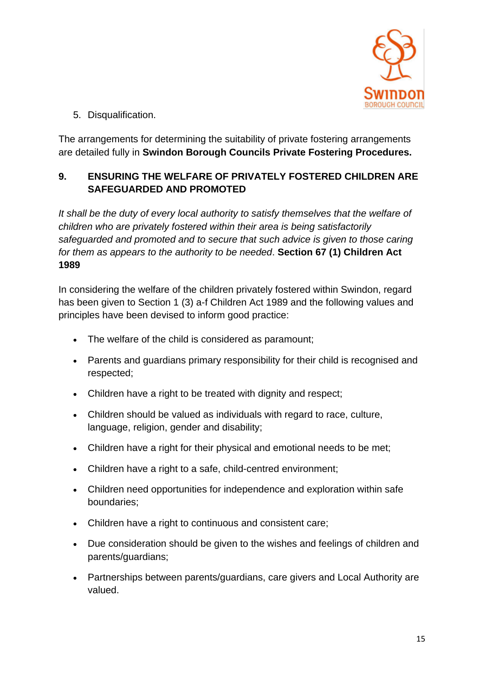

5. Disqualification.

The arrangements for determining the suitability of private fostering arrangements are detailed fully in **Swindon Borough Councils Private Fostering Procedures.**

# **9. ENSURING THE WELFARE OF PRIVATELY FOSTERED CHILDREN ARE SAFEGUARDED AND PROMOTED**

*It shall be the duty of every local authority to satisfy themselves that the welfare of children who are privately fostered within their area is being satisfactorily safeguarded and promoted and to secure that such advice is given to those caring for them as appears to the authority to be needed*. **Section 67 (1) Children Act 1989**

In considering the welfare of the children privately fostered within Swindon, regard has been given to Section 1 (3) a-f Children Act 1989 and the following values and principles have been devised to inform good practice:

- The welfare of the child is considered as paramount;
- Parents and guardians primary responsibility for their child is recognised and respected;
- Children have a right to be treated with dignity and respect;
- Children should be valued as individuals with regard to race, culture, language, religion, gender and disability;
- Children have a right for their physical and emotional needs to be met;
- Children have a right to a safe, child-centred environment;
- Children need opportunities for independence and exploration within safe boundaries;
- Children have a right to continuous and consistent care;
- Due consideration should be given to the wishes and feelings of children and parents/guardians;
- Partnerships between parents/guardians, care givers and Local Authority are valued.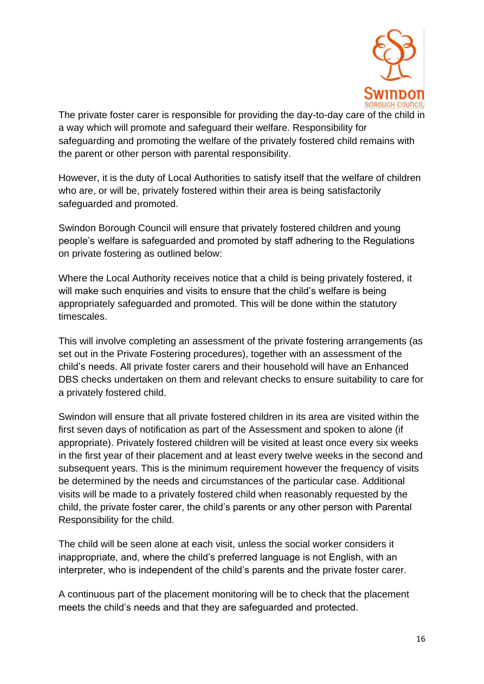

The private foster carer is responsible for providing the day-to-day care of the child in a way which will promote and safeguard their welfare. Responsibility for safeguarding and promoting the welfare of the privately fostered child remains with the parent or other person with parental responsibility.

However, it is the duty of Local Authorities to satisfy itself that the welfare of children who are, or will be, privately fostered within their area is being satisfactorily safeguarded and promoted.

Swindon Borough Council will ensure that privately fostered children and young people's welfare is safeguarded and promoted by staff adhering to the Regulations on private fostering as outlined below:

Where the Local Authority receives notice that a child is being privately fostered, it will make such enquiries and visits to ensure that the child's welfare is being appropriately safeguarded and promoted. This will be done within the statutory timescales.

This will involve completing an assessment of the private fostering arrangements (as set out in the Private Fostering procedures), together with an assessment of the child's needs. All private foster carers and their household will have an Enhanced DBS checks undertaken on them and relevant checks to ensure suitability to care for a privately fostered child.

Swindon will ensure that all private fostered children in its area are visited within the first seven days of notification as part of the Assessment and spoken to alone (if appropriate). Privately fostered children will be visited at least once every six weeks in the first year of their placement and at least every twelve weeks in the second and subsequent years. This is the minimum requirement however the frequency of visits be determined by the needs and circumstances of the particular case. Additional visits will be made to a privately fostered child when reasonably requested by the child, the private foster carer, the child's parents or any other person with Parental Responsibility for the child.

The child will be seen alone at each visit, unless the social worker considers it inappropriate, and, where the child's preferred language is not English, with an interpreter, who is independent of the child's parents and the private foster carer.

A continuous part of the placement monitoring will be to check that the placement meets the child's needs and that they are safeguarded and protected.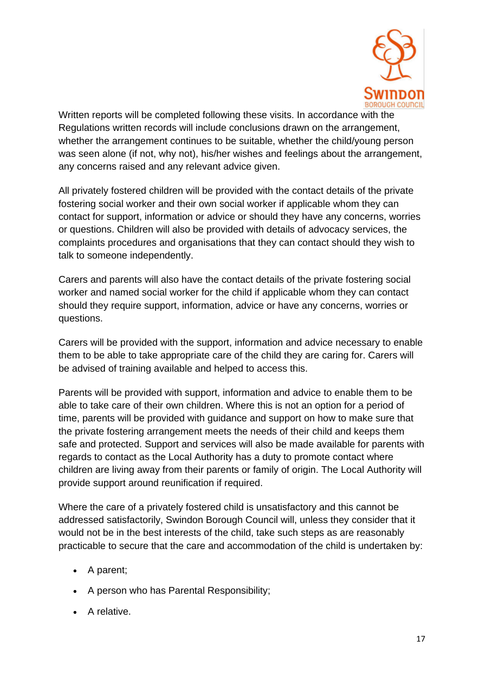

Written reports will be completed following these visits. In accordance with the Regulations written records will include conclusions drawn on the arrangement, whether the arrangement continues to be suitable, whether the child/young person was seen alone (if not, why not), his/her wishes and feelings about the arrangement, any concerns raised and any relevant advice given.

All privately fostered children will be provided with the contact details of the private fostering social worker and their own social worker if applicable whom they can contact for support, information or advice or should they have any concerns, worries or questions. Children will also be provided with details of advocacy services, the complaints procedures and organisations that they can contact should they wish to talk to someone independently.

Carers and parents will also have the contact details of the private fostering social worker and named social worker for the child if applicable whom they can contact should they require support, information, advice or have any concerns, worries or questions.

Carers will be provided with the support, information and advice necessary to enable them to be able to take appropriate care of the child they are caring for. Carers will be advised of training available and helped to access this.

Parents will be provided with support, information and advice to enable them to be able to take care of their own children. Where this is not an option for a period of time, parents will be provided with guidance and support on how to make sure that the private fostering arrangement meets the needs of their child and keeps them safe and protected. Support and services will also be made available for parents with regards to contact as the Local Authority has a duty to promote contact where children are living away from their parents or family of origin. The Local Authority will provide support around reunification if required.

Where the care of a privately fostered child is unsatisfactory and this cannot be addressed satisfactorily, Swindon Borough Council will, unless they consider that it would not be in the best interests of the child, take such steps as are reasonably practicable to secure that the care and accommodation of the child is undertaken by:

- A parent;
- A person who has Parental Responsibility;
- A relative.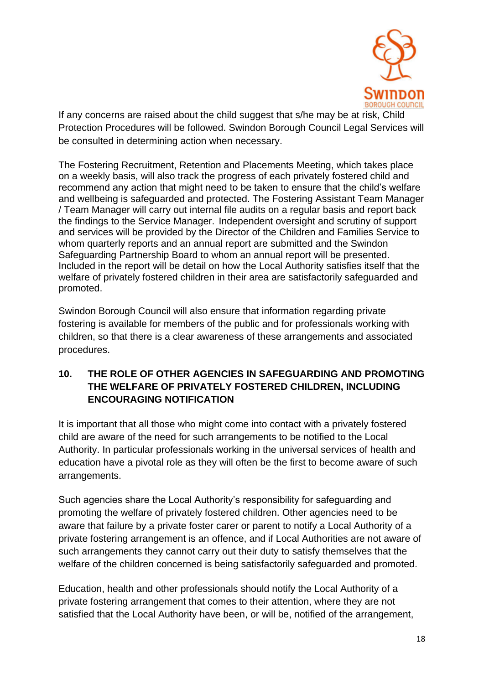

If any concerns are raised about the child suggest that s/he may be at risk, Child Protection Procedures will be followed. Swindon Borough Council Legal Services will be consulted in determining action when necessary.

The Fostering Recruitment, Retention and Placements Meeting, which takes place on a weekly basis, will also track the progress of each privately fostered child and recommend any action that might need to be taken to ensure that the child's welfare and wellbeing is safeguarded and protected. The Fostering Assistant Team Manager / Team Manager will carry out internal file audits on a regular basis and report back the findings to the Service Manager. Independent oversight and scrutiny of support and services will be provided by the Director of the Children and Families Service to whom quarterly reports and an annual report are submitted and the Swindon Safeguarding Partnership Board to whom an annual report will be presented. Included in the report will be detail on how the Local Authority satisfies itself that the welfare of privately fostered children in their area are satisfactorily safeguarded and promoted.

Swindon Borough Council will also ensure that information regarding private fostering is available for members of the public and for professionals working with children, so that there is a clear awareness of these arrangements and associated procedures.

# **10. THE ROLE OF OTHER AGENCIES IN SAFEGUARDING AND PROMOTING THE WELFARE OF PRIVATELY FOSTERED CHILDREN, INCLUDING ENCOURAGING NOTIFICATION**

It is important that all those who might come into contact with a privately fostered child are aware of the need for such arrangements to be notified to the Local Authority. In particular professionals working in the universal services of health and education have a pivotal role as they will often be the first to become aware of such arrangements.

Such agencies share the Local Authority's responsibility for safeguarding and promoting the welfare of privately fostered children. Other agencies need to be aware that failure by a private foster carer or parent to notify a Local Authority of a private fostering arrangement is an offence, and if Local Authorities are not aware of such arrangements they cannot carry out their duty to satisfy themselves that the welfare of the children concerned is being satisfactorily safeguarded and promoted.

Education, health and other professionals should notify the Local Authority of a private fostering arrangement that comes to their attention, where they are not satisfied that the Local Authority have been, or will be, notified of the arrangement,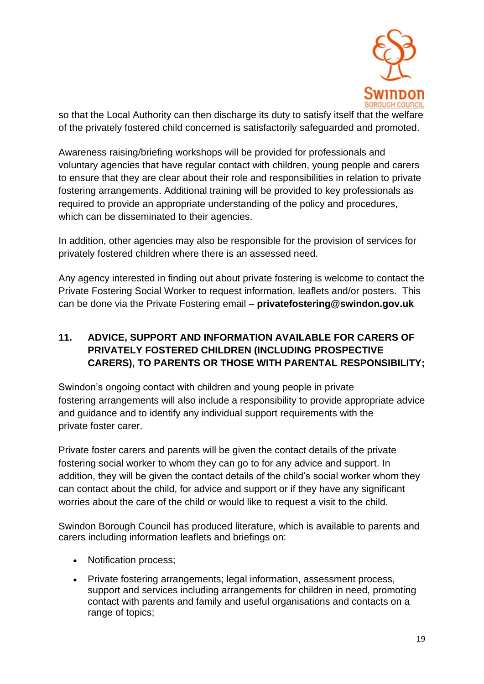

so that the Local Authority can then discharge its duty to satisfy itself that the welfare of the privately fostered child concerned is satisfactorily safeguarded and promoted.

Awareness raising/briefing workshops will be provided for professionals and voluntary agencies that have regular contact with children, young people and carers to ensure that they are clear about their role and responsibilities in relation to private fostering arrangements. Additional training will be provided to key professionals as required to provide an appropriate understanding of the policy and procedures, which can be disseminated to their agencies.

In addition, other agencies may also be responsible for the provision of services for privately fostered children where there is an assessed need.

Any agency interested in finding out about private fostering is welcome to contact the Private Fostering Social Worker to request information, leaflets and/or posters. This can be done via the Private Fostering email – **[privatefostering@swindon.gov.uk](mailto:privatefostering@swindon.gov.uk)**

# **11. ADVICE, SUPPORT AND INFORMATION AVAILABLE FOR CARERS OF PRIVATELY FOSTERED CHILDREN (INCLUDING PROSPECTIVE CARERS), TO PARENTS OR THOSE WITH PARENTAL RESPONSIBILITY;**

Swindon's ongoing contact with children and young people in private fostering arrangements will also include a responsibility to provide appropriate advice and guidance and to identify any individual support requirements with the private foster carer.

Private foster carers and parents will be given the contact details of the private fostering social worker to whom they can go to for any advice and support. In addition, they will be given the contact details of the child's social worker whom they can contact about the child, for advice and support or if they have any significant worries about the care of the child or would like to request a visit to the child.

Swindon Borough Council has produced literature, which is available to parents and carers including information leaflets and briefings on:

- Notification process;
- Private fostering arrangements; legal information, assessment process, support and services including arrangements for children in need, promoting contact with parents and family and useful organisations and contacts on a range of topics: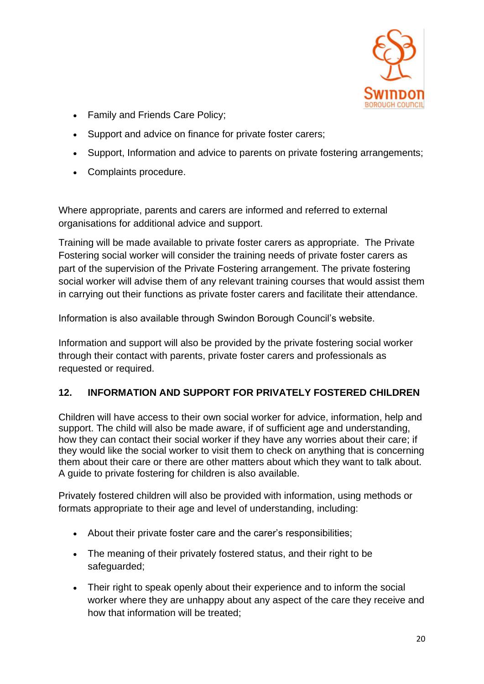

- Family and Friends Care Policy;
- Support and advice on finance for private foster carers;
- Support, Information and advice to parents on private fostering arrangements;
- Complaints procedure.

Where appropriate, parents and carers are informed and referred to external organisations for additional advice and support.

Training will be made available to private foster carers as appropriate. The Private Fostering social worker will consider the training needs of private foster carers as part of the supervision of the Private Fostering arrangement. The private fostering social worker will advise them of any relevant training courses that would assist them in carrying out their functions as private foster carers and facilitate their attendance.

Information is also available through Swindon Borough Council's website.

Information and support will also be provided by the private fostering social worker through their contact with parents, private foster carers and professionals as requested or required.

#### **12. INFORMATION AND SUPPORT FOR PRIVATELY FOSTERED CHILDREN**

Children will have access to their own social worker for advice, information, help and support. The child will also be made aware, if of sufficient age and understanding, how they can contact their social worker if they have any worries about their care; if they would like the social worker to visit them to check on anything that is concerning them about their care or there are other matters about which they want to talk about. A guide to private fostering for children is also available.

Privately fostered children will also be provided with information, using methods or formats appropriate to their age and level of understanding, including:

- About their private foster care and the carer's responsibilities;
- The meaning of their privately fostered status, and their right to be safeguarded;
- Their right to speak openly about their experience and to inform the social worker where they are unhappy about any aspect of the care they receive and how that information will be treated;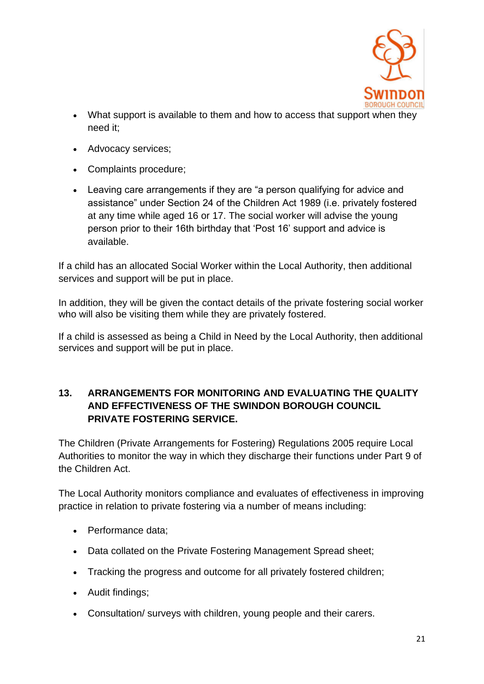

- What support is available to them and how to access that support when they need it;
- Advocacy services;
- Complaints procedure;
- Leaving care arrangements if they are "a person qualifying for advice and assistance" under Section 24 of the Children Act 1989 (i.e. privately fostered at any time while aged 16 or 17. The social worker will advise the young person prior to their 16th birthday that 'Post 16' support and advice is available.

If a child has an allocated Social Worker within the Local Authority, then additional services and support will be put in place.

In addition, they will be given the contact details of the private fostering social worker who will also be visiting them while they are privately fostered.

If a child is assessed as being a [Child in Need](http://trixresources.proceduresonline.com/nat_key/keywords/child_in_need.html) by the Local Authority, then additional services and support will be put in place.

### **13. ARRANGEMENTS FOR MONITORING AND EVALUATING THE QUALITY AND EFFECTIVENESS OF THE SWINDON BOROUGH COUNCIL PRIVATE FOSTERING SERVICE.**

The Children (Private Arrangements for Fostering) Regulations 2005 require Local Authorities to monitor the way in which they discharge their functions under Part 9 of the Children Act.

The Local Authority monitors compliance and evaluates of effectiveness in improving practice in relation to private fostering via a number of means including:

- Performance data:
- Data collated on the Private Fostering Management Spread sheet:
- Tracking the progress and outcome for all privately fostered children;
- Audit findings;
- Consultation/ surveys with children, young people and their carers.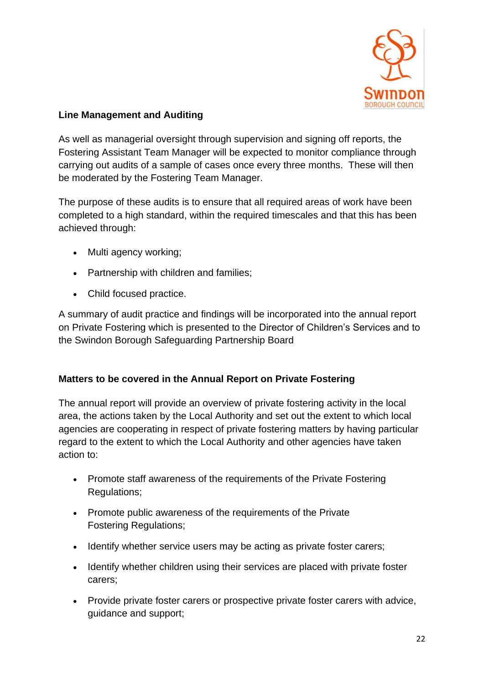

#### **Line Management and Auditing**

As well as managerial oversight through supervision and signing off reports, the Fostering Assistant Team Manager will be expected to monitor compliance through carrying out audits of a sample of cases once every three months. These will then be moderated by the Fostering Team Manager.

The purpose of these audits is to ensure that all required areas of work have been completed to a high standard, within the required timescales and that this has been achieved through:

- Multi agency working;
- Partnership with children and families;
- Child focused practice.

A summary of audit practice and findings will be incorporated into the annual report on Private Fostering which is presented to the Director of Children's Services and to the Swindon Borough Safeguarding Partnership Board

#### **Matters to be covered in the Annual Report on Private Fostering**

The annual report will provide an overview of private fostering activity in the local area, the actions taken by the Local Authority and set out the extent to which local agencies are cooperating in respect of private fostering matters by having particular regard to the extent to which the Local Authority and other agencies have taken action to:

- Promote staff awareness of the requirements of the Private Fostering Regulations;
- Promote public awareness of the requirements of the Private Fostering Regulations;
- Identify whether service users may be acting as private foster carers;
- Identify whether children using their services are placed with private foster carers;
- Provide private foster carers or prospective private foster carers with advice, guidance and support;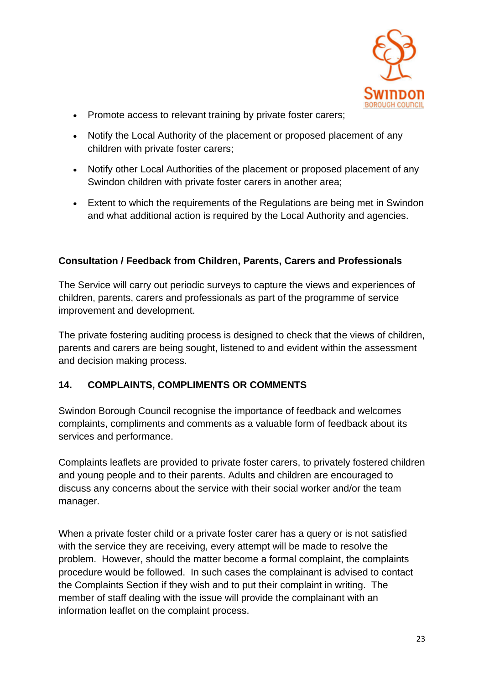

- Promote access to relevant training by private foster carers;
- Notify the Local Authority of the placement or proposed placement of any children with private foster carers;
- Notify other Local Authorities of the placement or proposed placement of any Swindon children with private foster carers in another area;
- Extent to which the requirements of the Regulations are being met in Swindon and what additional action is required by the Local Authority and agencies.

### **Consultation / Feedback from Children, Parents, Carers and Professionals**

The Service will carry out periodic surveys to capture the views and experiences of children, parents, carers and professionals as part of the programme of service improvement and development.

The private fostering auditing process is designed to check that the views of children, parents and carers are being sought, listened to and evident within the assessment and decision making process.

#### **14. COMPLAINTS, COMPLIMENTS OR COMMENTS**

Swindon Borough Council recognise the importance of feedback and welcomes complaints, compliments and comments as a valuable form of feedback about its services and performance.

Complaints leaflets are provided to private foster carers, to privately fostered children and young people and to their parents. Adults and children are encouraged to discuss any concerns about the service with their social worker and/or the team manager.

When a private foster child or a private foster carer has a query or is not satisfied with the service they are receiving, every attempt will be made to resolve the problem. However, should the matter become a formal complaint, the complaints procedure would be followed. In such cases the complainant is advised to contact the Complaints Section if they wish and to put their complaint in writing. The member of staff dealing with the issue will provide the complainant with an information leaflet on the complaint process.